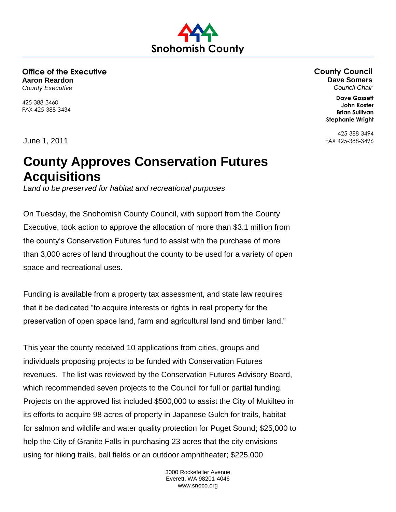**Office of the Executive Aaron Reardon** *County Executive*

425-388-3460 FAX 425-388-3434 **County Council Dave Somers** *Council Chair*

> **Dave Gossett John Koster Brian Sullivan Stephanie Wright**

425-388-3494 FAX 425-388-3496

June 1, 2011

## **County Approves Conservation Futures Acquisitions**

**Snohomish County**

*Land to be preserved for habitat and recreational purposes*

On Tuesday, the Snohomish County Council, with support from the County Executive, took action to approve the allocation of more than \$3.1 million from the county's Conservation Futures fund to assist with the purchase of more than 3,000 acres of land throughout the county to be used for a variety of open space and recreational uses.

Funding is available from a property tax assessment, and state law requires that it be dedicated "to acquire interests or rights in real property for the preservation of open space land, farm and agricultural land and timber land."

This year the county received 10 applications from cities, groups and individuals proposing projects to be funded with Conservation Futures revenues. The list was reviewed by the Conservation Futures Advisory Board, which recommended seven projects to the Council for full or partial funding. Projects on the approved list included \$500,000 to assist the City of Mukilteo in its efforts to acquire 98 acres of property in Japanese Gulch for trails, habitat for salmon and wildlife and water quality protection for Puget Sound; \$25,000 to help the City of Granite Falls in purchasing 23 acres that the city envisions using for hiking trails, ball fields or an outdoor amphitheater; \$225,000

> 3000 Rockefeller Avenue Everett, WA 98201-4046 www.snoco.org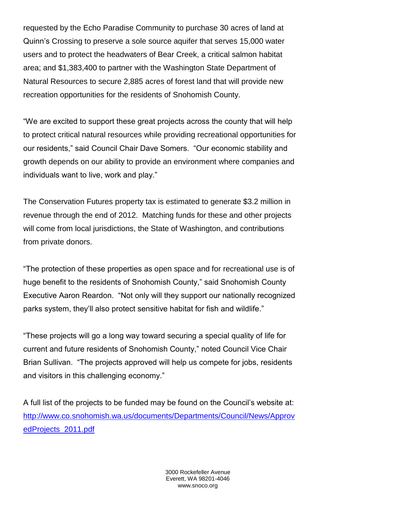requested by the Echo Paradise Community to purchase 30 acres of land at Quinn's Crossing to preserve a sole source aquifer that serves 15,000 water users and to protect the headwaters of Bear Creek, a critical salmon habitat area; and \$1,383,400 to partner with the Washington State Department of Natural Resources to secure 2,885 acres of forest land that will provide new recreation opportunities for the residents of Snohomish County.

"We are excited to support these great projects across the county that will help to protect critical natural resources while providing recreational opportunities for our residents," said Council Chair Dave Somers. "Our economic stability and growth depends on our ability to provide an environment where companies and individuals want to live, work and play."

The Conservation Futures property tax is estimated to generate \$3.2 million in revenue through the end of 2012. Matching funds for these and other projects will come from local jurisdictions, the State of Washington, and contributions from private donors.

"The protection of these properties as open space and for recreational use is of huge benefit to the residents of Snohomish County," said Snohomish County Executive Aaron Reardon. "Not only will they support our nationally recognized parks system, they'll also protect sensitive habitat for fish and wildlife."

"These projects will go a long way toward securing a special quality of life for current and future residents of Snohomish County," noted Council Vice Chair Brian Sullivan. "The projects approved will help us compete for jobs, residents and visitors in this challenging economy."

A full list of the projects to be funded may be found on the Council's website at: [http://www.co.snohomish.wa.us/documents/Departments/Council/News/Approv](http://www.co.snohomish.wa.us/documents/Departments/Council/News/ApprovedProjects_2011.pdf) [edProjects\\_2011.pdf](http://www.co.snohomish.wa.us/documents/Departments/Council/News/ApprovedProjects_2011.pdf)

> 3000 Rockefeller Avenue Everett, WA 98201-4046 www.snoco.org